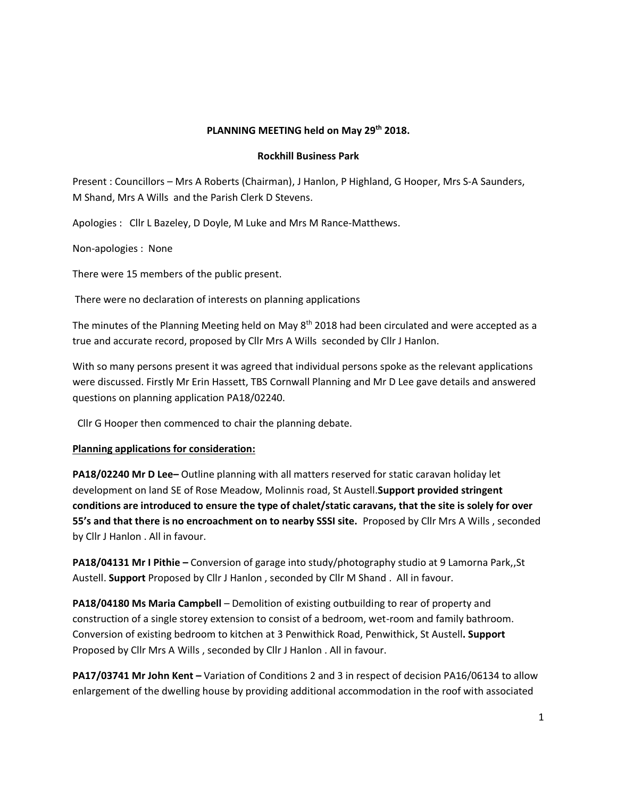### **PLANNING MEETING held on May 29th 2018.**

#### **Rockhill Business Park**

Present : Councillors – Mrs A Roberts (Chairman), J Hanlon, P Highland, G Hooper, Mrs S-A Saunders, M Shand, Mrs A Wills and the Parish Clerk D Stevens.

Apologies : Cllr L Bazeley, D Doyle, M Luke and Mrs M Rance-Matthews.

Non-apologies : None

There were 15 members of the public present.

There were no declaration of interests on planning applications

The minutes of the Planning Meeting held on May 8<sup>th</sup> 2018 had been circulated and were accepted as a true and accurate record, proposed by Cllr Mrs A Wills seconded by Cllr J Hanlon.

With so many persons present it was agreed that individual persons spoke as the relevant applications were discussed. Firstly Mr Erin Hassett, TBS Cornwall Planning and Mr D Lee gave details and answered questions on planning application PA18/02240.

Cllr G Hooper then commenced to chair the planning debate.

#### **Planning applications for consideration:**

**PA18/02240 Mr D Lee–** Outline planning with all matters reserved for static caravan holiday let development on land SE of Rose Meadow, Molinnis road, St Austell.**Support provided stringent conditions are introduced to ensure the type of chalet/static caravans, that the site is solely for over 55's and that there is no encroachment on to nearby SSSI site.** Proposed by Cllr Mrs A Wills , seconded by Cllr J Hanlon . All in favour.

**PA18/04131 Mr I Pithie –** Conversion of garage into study/photography studio at 9 Lamorna Park,,St Austell. **Support** Proposed by Cllr J Hanlon , seconded by Cllr M Shand . All in favour.

**PA18/04180 Ms Maria Campbell** – Demolition of existing outbuilding to rear of property and construction of a single storey extension to consist of a bedroom, wet-room and family bathroom. Conversion of existing bedroom to kitchen at 3 Penwithick Road, Penwithick, St Austell**. Support** Proposed by Cllr Mrs A Wills , seconded by Cllr J Hanlon . All in favour.

**PA17/03741 Mr John Kent –** Variation of Conditions 2 and 3 in respect of decision PA16/06134 to allow enlargement of the dwelling house by providing additional accommodation in the roof with associated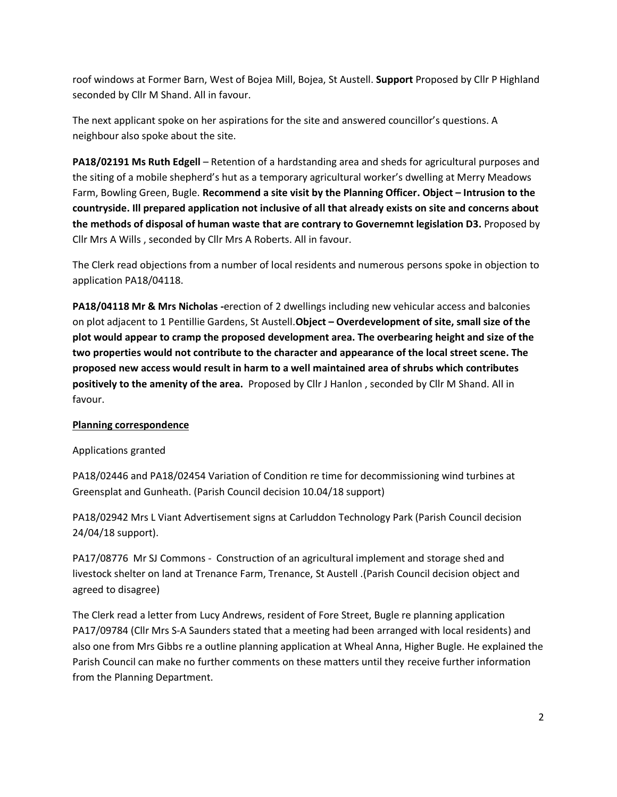roof windows at Former Barn, West of Bojea Mill, Bojea, St Austell. **Support** Proposed by Cllr P Highland seconded by Cllr M Shand. All in favour.

The next applicant spoke on her aspirations for the site and answered councillor's questions. A neighbour also spoke about the site.

**PA18/02191 Ms Ruth Edgell** – Retention of a hardstanding area and sheds for agricultural purposes and the siting of a mobile shepherd's hut as a temporary agricultural worker's dwelling at Merry Meadows Farm, Bowling Green, Bugle. **Recommend a site visit by the Planning Officer. Object – Intrusion to the countryside. Ill prepared application not inclusive of all that already exists on site and concerns about the methods of disposal of human waste that are contrary to Governemnt legislation D3.** Proposed by Cllr Mrs A Wills , seconded by Cllr Mrs A Roberts. All in favour.

The Clerk read objections from a number of local residents and numerous persons spoke in objection to application PA18/04118.

**PA18/04118 Mr & Mrs Nicholas** *-*erection of 2 dwellings including new vehicular access and balconies on plot adjacent to 1 Pentillie Gardens, St Austell.**Object – Overdevelopment of site, small size of the plot would appear to cramp the proposed development area. The overbearing height and size of the two properties would not contribute to the character and appearance of the local street scene. The proposed new access would result in harm to a well maintained area of shrubs which contributes positively to the amenity of the area.** Proposed by Cllr J Hanlon , seconded by Cllr M Shand. All in favour.

# **Planning correspondence**

# Applications granted

PA18/02446 and PA18/02454 Variation of Condition re time for decommissioning wind turbines at Greensplat and Gunheath. (Parish Council decision 10.04/18 support)

PA18/02942 Mrs L Viant Advertisement signs at Carluddon Technology Park (Parish Council decision 24/04/18 support).

PA17/08776 Mr SJ Commons - Construction of an agricultural implement and storage shed and livestock shelter on land at Trenance Farm, Trenance, St Austell .(Parish Council decision object and agreed to disagree)

The Clerk read a letter from Lucy Andrews, resident of Fore Street, Bugle re planning application PA17/09784 (Cllr Mrs S-A Saunders stated that a meeting had been arranged with local residents) and also one from Mrs Gibbs re a outline planning application at Wheal Anna, Higher Bugle. He explained the Parish Council can make no further comments on these matters until they receive further information from the Planning Department.